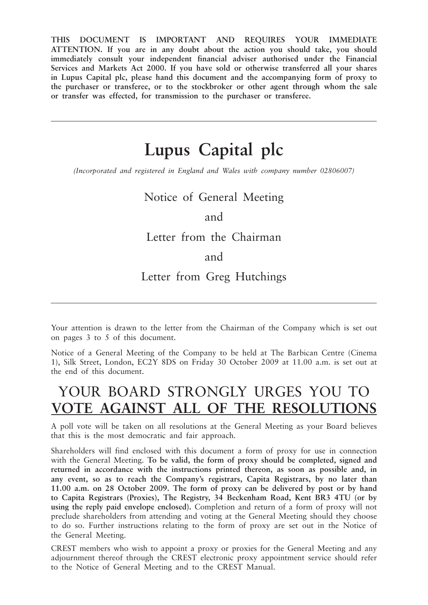**THIS DOCUMENT IS IMPORTANT AND REQUIRES YOUR IMMEDIATE ATTENTION. If you are in any doubt about the action you should take, you should immediately consult your independent financial adviser authorised under the Financial Services and Markets Act 2000. If you have sold or otherwise transferred all your shares in Lupus Capital plc, please hand this document and the accompanying form of proxy to the purchaser or transferee, or to the stockbroker or other agent through whom the sale or transfer was effected, for transmission to the purchaser or transferee.**

# **Lupus Capital plc**

*(Incorporated and registered in England and Wales with company number 02806007)*

Notice of General Meeting

## and

## Letter from the Chairman

## and

# Letter from Greg Hutchings

Your attention is drawn to the letter from the Chairman of the Company which is set out on pages 3 to 5 of this document.

Notice of a General Meeting of the Company to be held at The Barbican Centre (Cinema 1), Silk Street, London, EC2Y 8DS on Friday 30 October 2009 at 11.00 a.m. is set out at the end of this document.

# YOUR BOARD STRONGLY URGES YOU TO **VOTE AGAINST ALL OF THE RESOLUTIONS**

A poll vote will be taken on all resolutions at the General Meeting as your Board believes that this is the most democratic and fair approach.

Shareholders will find enclosed with this document a form of proxy for use in connection with the General Meeting. **To be valid, the form of proxy should be completed, signed and returned in accordance with the instructions printed thereon, as soon as possible and, in any event, so as to reach the Company's registrars, Capita Registrars, by no later than 11.00 a.m. on 28 October 2009. The form of proxy can be delivered by post or by hand to Capita Registrars (Proxies), The Registry, 34 Beckenham Road, Kent BR3 4TU (or by using the reply paid envelope enclosed).** Completion and return of a form of proxy will not preclude shareholders from attending and voting at the General Meeting should they choose to do so. Further instructions relating to the form of proxy are set out in the Notice of the General Meeting.

CREST members who wish to appoint a proxy or proxies for the General Meeting and any adjournment thereof through the CREST electronic proxy appointment service should refer to the Notice of General Meeting and to the CREST Manual.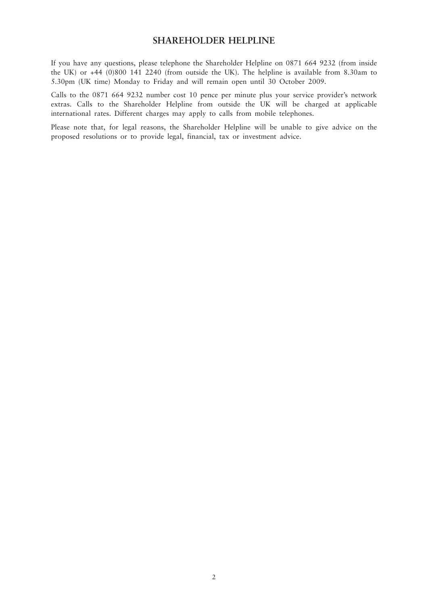#### **SHAREHOLDER HELPLINE**

If you have any questions, please telephone the Shareholder Helpline on 0871 664 9232 (from inside the UK) or +44 (0)800 141 2240 (from outside the UK). The helpline is available from 8.30am to 5.30pm (UK time) Monday to Friday and will remain open until 30 October 2009.

Calls to the 0871 664 9232 number cost 10 pence per minute plus your service provider's network extras. Calls to the Shareholder Helpline from outside the UK will be charged at applicable international rates. Different charges may apply to calls from mobile telephones.

Please note that, for legal reasons, the Shareholder Helpline will be unable to give advice on the proposed resolutions or to provide legal, financial, tax or investment advice.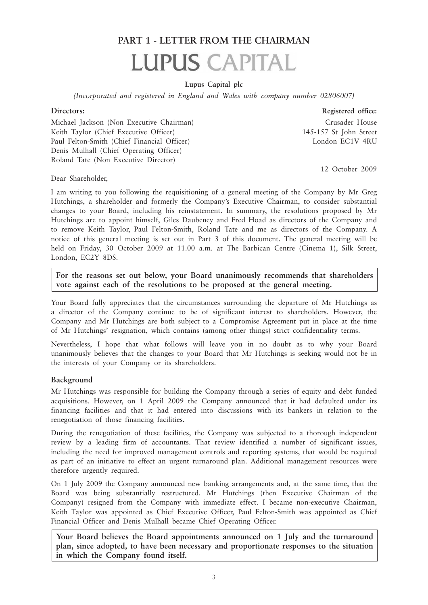# **PART 1 - LETTER FROM THE CHAIRMAN LUPUS CAPITAL**

#### **Lupus Capital plc**

*(Incorporated and registered in England and Wales with company number 02806007)*

#### **Directors: Registered office:**

Michael Jackson (Non Executive Chairman) Crusader House Keith Taylor (Chief Executive Officer) 145-157 St John Street Paul Felton-Smith (Chief Financial Officer) London EC1V 4RU Denis Mulhall (Chief Operating Officer) Roland Tate (Non Executive Director)

12 October 2009

Dear Shareholder,

I am writing to you following the requisitioning of a general meeting of the Company by Mr Greg Hutchings, a shareholder and formerly the Company's Executive Chairman, to consider substantial changes to your Board, including his reinstatement. In summary, the resolutions proposed by Mr Hutchings are to appoint himself, Giles Daubeney and Fred Hoad as directors of the Company and to remove Keith Taylor, Paul Felton-Smith, Roland Tate and me as directors of the Company. A notice of this general meeting is set out in Part 3 of this document. The general meeting will be held on Friday, 30 October 2009 at 11.00 a.m. at The Barbican Centre (Cinema 1), Silk Street, London, EC2Y 8DS.

**For the reasons set out below, your Board unanimously recommends that shareholders vote against each of the resolutions to be proposed at the general meeting.**

Your Board fully appreciates that the circumstances surrounding the departure of Mr Hutchings as a director of the Company continue to be of significant interest to shareholders. However, the Company and Mr Hutchings are both subject to a Compromise Agreement put in place at the time of Mr Hutchings' resignation, which contains (among other things) strict confidentiality terms.

Nevertheless, I hope that what follows will leave you in no doubt as to why your Board unanimously believes that the changes to your Board that Mr Hutchings is seeking would not be in the interests of your Company or its shareholders.

#### **Background**

Mr Hutchings was responsible for building the Company through a series of equity and debt funded acquisitions. However, on 1 April 2009 the Company announced that it had defaulted under its financing facilities and that it had entered into discussions with its bankers in relation to the renegotiation of those financing facilities.

During the renegotiation of these facilities, the Company was subjected to a thorough independent review by a leading firm of accountants. That review identified a number of significant issues, including the need for improved management controls and reporting systems, that would be required as part of an initiative to effect an urgent turnaround plan. Additional management resources were therefore urgently required.

On 1 July 2009 the Company announced new banking arrangements and, at the same time, that the Board was being substantially restructured. Mr Hutchings (then Executive Chairman of the Company) resigned from the Company with immediate effect. I became non-executive Chairman, Keith Taylor was appointed as Chief Executive Officer, Paul Felton-Smith was appointed as Chief Financial Officer and Denis Mulhall became Chief Operating Officer.

**Your Board believes the Board appointments announced on 1 July and the turnaround plan, since adopted, to have been necessary and proportionate responses to the situation in which the Company found itself.**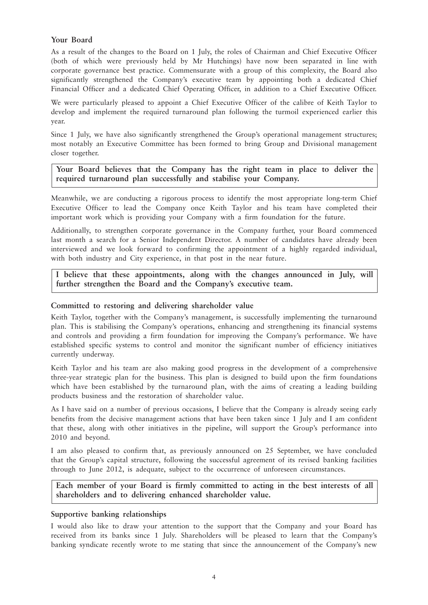#### **Your Board**

As a result of the changes to the Board on 1 July, the roles of Chairman and Chief Executive Officer (both of which were previously held by Mr Hutchings) have now been separated in line with corporate governance best practice. Commensurate with a group of this complexity, the Board also significantly strengthened the Company's executive team by appointing both a dedicated Chief Financial Officer and a dedicated Chief Operating Officer, in addition to a Chief Executive Officer.

We were particularly pleased to appoint a Chief Executive Officer of the calibre of Keith Taylor to develop and implement the required turnaround plan following the turmoil experienced earlier this year.

Since 1 July, we have also significantly strengthened the Group's operational management structures; most notably an Executive Committee has been formed to bring Group and Divisional management closer together.

**Your Board believes that the Company has the right team in place to deliver the required turnaround plan successfully and stabilise your Company.**

Meanwhile, we are conducting a rigorous process to identify the most appropriate long-term Chief Executive Officer to lead the Company once Keith Taylor and his team have completed their important work which is providing your Company with a firm foundation for the future.

Additionally, to strengthen corporate governance in the Company further, your Board commenced last month a search for a Senior Independent Director. A number of candidates have already been interviewed and we look forward to confirming the appointment of a highly regarded individual, with both industry and City experience, in that post in the near future.

**I believe that these appointments, along with the changes announced in July, will further strengthen the Board and the Company's executive team.**

#### **Committed to restoring and delivering shareholder value**

Keith Taylor, together with the Company's management, is successfully implementing the turnaround plan. This is stabilising the Company's operations, enhancing and strengthening its financial systems and controls and providing a firm foundation for improving the Company's performance. We have established specific systems to control and monitor the significant number of efficiency initiatives currently underway.

Keith Taylor and his team are also making good progress in the development of a comprehensive three-year strategic plan for the business. This plan is designed to build upon the firm foundations which have been established by the turnaround plan, with the aims of creating a leading building products business and the restoration of shareholder value.

As I have said on a number of previous occasions, I believe that the Company is already seeing early benefits from the decisive management actions that have been taken since 1 July and I am confident that these, along with other initiatives in the pipeline, will support the Group's performance into 2010 and beyond.

I am also pleased to confirm that, as previously announced on 25 September, we have concluded that the Group's capital structure, following the successful agreement of its revised banking facilities through to June 2012, is adequate, subject to the occurrence of unforeseen circumstances.

#### **Each member of your Board is firmly committed to acting in the best interests of all shareholders and to delivering enhanced shareholder value.**

#### **Supportive banking relationships**

I would also like to draw your attention to the support that the Company and your Board has received from its banks since 1 July. Shareholders will be pleased to learn that the Company's banking syndicate recently wrote to me stating that since the announcement of the Company's new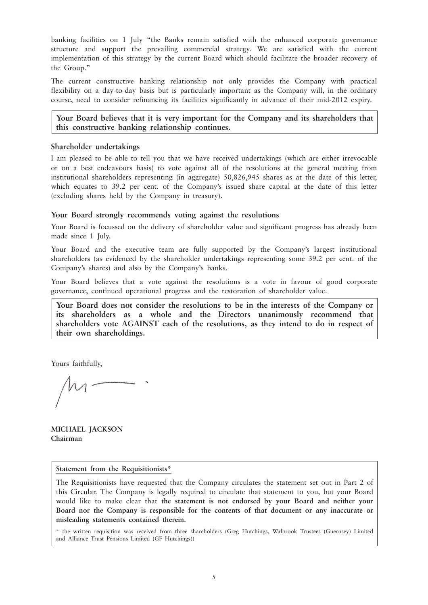banking facilities on 1 July "the Banks remain satisfied with the enhanced corporate governance structure and support the prevailing commercial strategy. We are satisfied with the current implementation of this strategy by the current Board which should facilitate the broader recovery of the Group."

The current constructive banking relationship not only provides the Company with practical flexibility on a day-to-day basis but is particularly important as the Company will, in the ordinary course, need to consider refinancing its facilities significantly in advance of their mid-2012 expiry.

**Your Board believes that it is very important for the Company and its shareholders that this constructive banking relationship continues.**

#### **Shareholder undertakings**

I am pleased to be able to tell you that we have received undertakings (which are either irrevocable or on a best endeavours basis) to vote against all of the resolutions at the general meeting from institutional shareholders representing (in aggregate) 50,826,945 shares as at the date of this letter, which equates to 39.2 per cent. of the Company's issued share capital at the date of this letter (excluding shares held by the Company in treasury).

#### **Your Board strongly recommends voting against the resolutions**

Your Board is focussed on the delivery of shareholder value and significant progress has already been made since 1 July.

Your Board and the executive team are fully supported by the Company's largest institutional shareholders (as evidenced by the shareholder undertakings representing some 39.2 per cent. of the Company's shares) and also by the Company's banks.

Your Board believes that a vote against the resolutions is a vote in favour of good corporate governance, continued operational progress and the restoration of shareholder value.

**Your Board does not consider the resolutions to be in the interests of the Company or its shareholders as a whole and the Directors unanimously recommend that shareholders vote AGAINST each of the resolutions, as they intend to do in respect of their own shareholdings.**

Yours faithfully,

**MICHAEL JACKSON Chairman**

**Statement from the Requisitionists\***

The Requisitionists have requested that the Company circulates the statement set out in Part 2 of this Circular. The Company is legally required to circulate that statement to you, but your Board would like to make clear that **the statement is not endorsed by your Board and neither your Board nor the Company is responsible for the contents of that document or any inaccurate or misleading statements contained therein**.

\* the written requisition was received from three shareholders (Greg Hutchings, Walbrook Trustees (Guernsey) Limited and Alliance Trust Pensions Limited (GF Hutchings))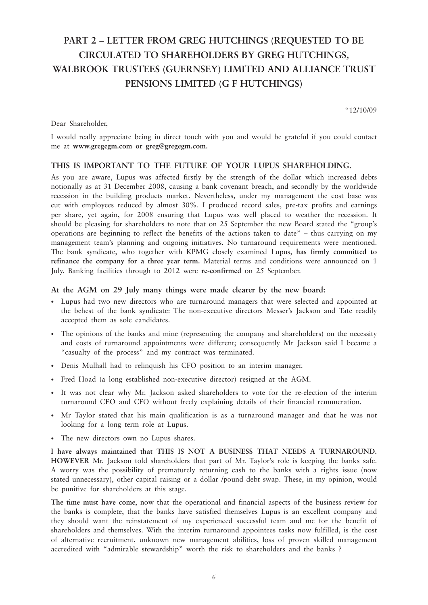# **PART 2 – LETTER FROM GREG HUTCHINGS (REQUESTED TO BE CIRCULATED TO SHAREHOLDERS BY GREG HUTCHINGS, WALBROOK TRUSTEES (GUERNSEY) LIMITED AND ALLIANCE TRUST PENSIONS LIMITED (G F HUTCHINGS)**

"12/10/09

Dear Shareholder,

I would really appreciate being in direct touch with you and would be grateful if you could contact me at **www.gregegm.com or greg@gregegm.com.**

#### **THIS IS IMPORTANT TO THE FUTURE OF YOUR LUPUS SHAREHOLDING.**

As you are aware, Lupus was affected firstly by the strength of the dollar which increased debts notionally as at 31 December 2008, causing a bank covenant breach, and secondly by the worldwide recession in the building products market. Nevertheless, under my management the cost base was cut with employees reduced by almost 30%. I produced record sales, pre-tax profits and earnings per share, yet again, for 2008 ensuring that Lupus was well placed to weather the recession. It should be pleasing for shareholders to note that on 25 September the new Board stated the "group's operations are beginning to reflect the benefits of the actions taken to date" – thus carrying on my management team's planning and ongoing initiatives. No turnaround requirements were mentioned. The bank syndicate, who together with KPMG closely examined Lupus, **has firmly committed to refinance the company for a three year term.** Material terms and conditions were announced on 1 July. Banking facilities through to 2012 were **re-confirmed** on 25 September.

#### **At the AGM on 29 July many things were made clearer by the new board:**

- Lupus had two new directors who are turnaround managers that were selected and appointed at the behest of the bank syndicate: The non-executive directors Messer's Jackson and Tate readily accepted them as sole candidates.
- The opinions of the banks and mine (representing the company and shareholders) on the necessity and costs of turnaround appointments were different; consequently Mr Jackson said I became a "casualty of the process" and my contract was terminated.
- Denis Mulhall had to relinquish his CFO position to an interim manager.
- Fred Hoad (a long established non-executive director) resigned at the AGM.
- It was not clear why Mr. Jackson asked shareholders to vote for the re-election of the interim turnaround CEO and CFO without freely explaining details of their financial remuneration.
- Mr Taylor stated that his main qualification is as a turnaround manager and that he was not looking for a long term role at Lupus.
- The new directors own no Lupus shares.

**I have always maintained that THIS IS NOT A BUSINESS THAT NEEDS A TURNAROUND. HOWEVER** Mr. Jackson told shareholders that part of Mr. Taylor's role is keeping the banks safe. A worry was the possibility of prematurely returning cash to the banks with a rights issue (now stated unnecessary), other capital raising or a dollar /pound debt swap. These, in my opinion, would be punitive for shareholders at this stage.

**The time must have come**, now that the operational and financial aspects of the business review for the banks is complete, that the banks have satisfied themselves Lupus is an excellent company and they should want the reinstatement of my experienced successful team and me for the benefit of shareholders and themselves. With the interim turnaround appointees tasks now fulfilled, is the cost of alternative recruitment, unknown new management abilities, loss of proven skilled management accredited with "admirable stewardship" worth the risk to shareholders and the banks ?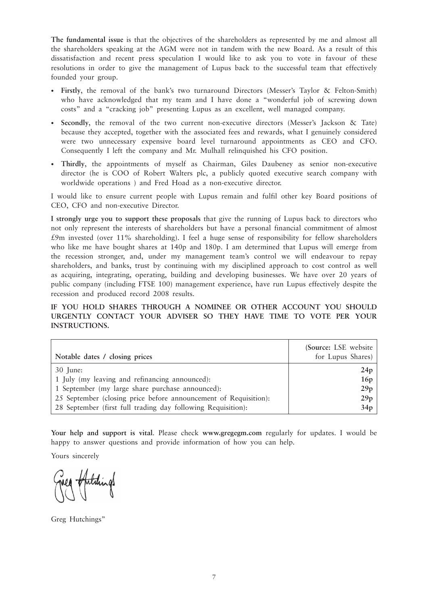**The fundamental issue** is that the objectives of the shareholders as represented by me and almost all the shareholders speaking at the AGM were not in tandem with the new Board. As a result of this dissatisfaction and recent press speculation I would like to ask you to vote in favour of these resolutions in order to give the management of Lupus back to the successful team that effectively founded your group.

- **Firstly**, the removal of the bank's two turnaround Directors (Messer's Taylor & Felton-Smith) who have acknowledged that my team and I have done a "wonderful job of screwing down costs" and a "cracking job" presenting Lupus as an excellent, well managed company.
- **Secondly**, the removal of the two current non-executive directors (Messer's Jackson & Tate) because they accepted, together with the associated fees and rewards, what I genuinely considered were two unnecessary expensive board level turnaround appointments as CEO and CFO. Consequently I left the company and Mr. Mulhall relinquished his CFO position.
- **Thirdly**, the appointments of myself as Chairman, Giles Daubeney as senior non-executive director (he is COO of Robert Walters plc, a publicly quoted executive search company with worldwide operations ) and Fred Hoad as a non-executive director.

I would like to ensure current people with Lupus remain and fulfil other key Board positions of CEO, CFO and non-executive Director.

**I strongly urge you to support these proposals** that give the running of Lupus back to directors who not only represent the interests of shareholders but have a personal financial commitment of almost £9m invested (over 11% shareholding). I feel a huge sense of responsibility for fellow shareholders who like me have bought shares at 140p and 180p. I am determined that Lupus will emerge from the recession stronger, and, under my management team's control we will endeavour to repay shareholders, and banks, trust by continuing with my disciplined approach to cost control as well as acquiring, integrating, operating, building and developing businesses. We have over 20 years of public company (including FTSE 100) management experience, have run Lupus effectively despite the recession and produced record 2008 results.

**IF YOU HOLD SHARES THROUGH A NOMINEE OR OTHER ACCOUNT YOU SHOULD URGENTLY CONTACT YOUR ADVISER SO THEY HAVE TIME TO VOTE PER YOUR INSTRUCTIONS.**

| Notable dates / closing prices                                   | (Source: LSE website)<br>for Lupus Shares) |
|------------------------------------------------------------------|--------------------------------------------|
| 30 June:                                                         | 24p                                        |
| 1 July (my leaving and refinancing announced):                   | 16p                                        |
| 1 September (my large share purchase announced):                 | 29p                                        |
| 25 September (closing price before announcement of Requisition): | 29p                                        |
| 28 September (first full trading day following Requisition):     | 34p                                        |

**Your help and support is vital**. Please check **www.gregegm.com** regularly for updates. I would be happy to answer questions and provide information of how you can help.

Yours sincerely

Hitchings

Greg Hutchings"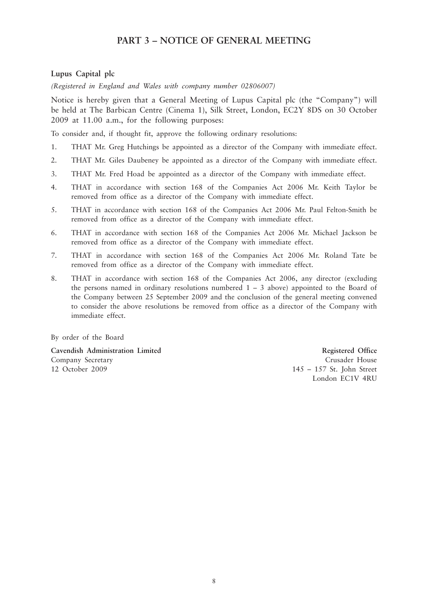#### **PART 3 – NOTICE OF GENERAL MEETING**

#### **Lupus Capital plc**

*(Registered in England and Wales with company number 02806007)*

Notice is hereby given that a General Meeting of Lupus Capital plc (the "Company") will be held at The Barbican Centre (Cinema 1), Silk Street, London, EC2Y 8DS on 30 October 2009 at 11.00 a.m., for the following purposes:

To consider and, if thought fit, approve the following ordinary resolutions:

- 1. THAT Mr. Greg Hutchings be appointed as a director of the Company with immediate effect.
- 2. THAT Mr. Giles Daubeney be appointed as a director of the Company with immediate effect.
- 3. THAT Mr. Fred Hoad be appointed as a director of the Company with immediate effect.
- 4. THAT in accordance with section 168 of the Companies Act 2006 Mr. Keith Taylor be removed from office as a director of the Company with immediate effect.
- 5. THAT in accordance with section 168 of the Companies Act 2006 Mr. Paul Felton-Smith be removed from office as a director of the Company with immediate effect.
- 6. THAT in accordance with section 168 of the Companies Act 2006 Mr. Michael Jackson be removed from office as a director of the Company with immediate effect.
- 7. THAT in accordance with section 168 of the Companies Act 2006 Mr. Roland Tate be removed from office as a director of the Company with immediate effect.
- 8. THAT in accordance with section 168 of the Companies Act 2006, any director (excluding the persons named in ordinary resolutions numbered  $1 - 3$  above) appointed to the Board of the Company between 25 September 2009 and the conclusion of the general meeting convened to consider the above resolutions be removed from office as a director of the Company with immediate effect.

By order of the Board

**Cavendish Administration Limited Registered Office** Company Secretary Crusader House 12 October 2009 145 – 157 St. John Street

London EC1V 4RU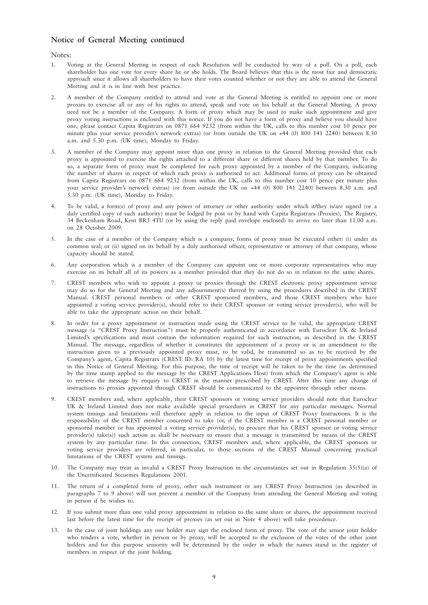#### **Notice of General Meeting continued**

#### Notes:

- 1. Voting at the General Meeting in respect of each Resolution will be conducted by way of a poll. On a poll, each shareholder has one vote for every share he or she holds. The Board believes that this is the most fair and democratic approach since it allows all shareholders to have their votes counted whether or not they are able to attend the General Meeting and it is in line with best practice.
- 2. A member of the Company entitled to attend and vote at the General Meeting is entitled to appoint one or more proxies to exercise all or any of his rights to attend, speak and vote on his behalf at the General Meeting. A proxy need not be a member of the Company. A form of proxy which may be used to make such appointment and give proxy voting instructions is enclosed with this notice. If you do not have a form of proxy and believe you should have one, please contact Capita Registrars on 0871 664 9232 (from within the UK, calls to this number cost 10 pence per minute plus your service provider's network extras) (or from outside the UK on +44 (0) 800 141 2240) between 8.30 a.m. and 5.30 p.m. (UK time), Monday to Friday.
- 3. A member of the Company may appoint more than one proxy in relation to the General Meeting provided that each proxy is appointed to exercise the rights attached to a different share or different shares held by that member. To do so, a separate form of proxy must be completed for each proxy appointed by a member of the Company, indicating the number of shares in respect of which each proxy is authorised to act. Additional forms of proxy can be obtained from Capita Registrars on 0871 664 9232 (from within the UK, calls to this number cost 10 pence per minute plus your service provider's network extras) (or from outside the UK on +44 (0) 800 141 2240) between 8.30 a.m. and 5.30 p.m. (UK time), Monday to Friday.
- 4. To be valid, a form(s) of proxy and any power of attorney or other authority under which it/they is/are signed (or a duly certified copy of such authority) must be lodged by post or by hand with Capita Registrars (Proxies), The Registry, 34 Beckenham Road, Kent BR3 4TU (or by using the reply paid envelope enclosed) to arrive no later than 11.00 a.m. on 28 October 2009.
- 5. In the case of a member of the Company which is a company, forms of proxy must be executed either: (i) under its common seal; or (ii) signed on its behalf by a duly authorised officer, representative or attorney of that company, whose capacity should be stated.
- 6. Any corporation which is a member of the Company can appoint one or more corporate representatives who may exercise on its behalf all of its powers as a member provided that they do not do so in relation to the same shares.
- 7. CREST members who wish to appoint a proxy or proxies through the CREST electronic proxy appointment service may do so for the General Meeting and any adjournment(s) thereof by using the procedures described in the CREST Manual. CREST personal members or other CREST sponsored members, and those CREST members who have appointed a voting service provider(s), should refer to their CREST sponsor or voting service provider(s), who will be able to take the appropriate action on their behalf.
- 8. In order for a proxy appointment or instruction made using the CREST service to be valid, the appropriate CREST message (a "CREST Proxy Instruction") must be properly authenticated in accordance with Euroclear UK & Ireland Limited's specifications and must contain the information required for such instruction, as described in the CREST Manual. The message, regardless of whether it constitutes the appointment of a proxy or is an amendment to the instruction given to a previously appointed proxy must, to be valid, be transmitted so as to be received by the Company's agent, Capita Registrars (CREST ID: RA 10) by the latest time for receipt of proxy appointments specified in this Notice of General Meeting. For this purpose, the time of receipt will be taken to be the time (as determined by the time stamp applied to the message by the CREST Applications Host) from which the Company's agent is able to retrieve the message by enquiry to CREST in the manner prescribed by CREST. After this time any change of instructions to proxies appointed through CREST should be communicated to the appointee through other means.
- 9. CREST members and, where applicable, their CREST sponsors or voting service providers should note that Euroclear UK & Ireland Limited does not make available special procedures in CREST for any particular messages. Normal system timings and limitations will therefore apply in relation to the input of CREST Proxy Instructions. It is the responsibility of the CREST member concerned to take (or, if the CREST member is a CREST personal member or sponsored member or has appointed a voting service provider(s), to procure that his CREST sponsor or voting service provider(s) take(s)) such action as shall be necessary to ensure that a message is transmitted by means of the CREST system by any particular time. In this connection, CREST members and, where applicable, the CREST sponsors or voting service providers are referred, in particular, to those sections of the CREST Manual concerning practical limitations of the CREST system and timings.
- 10. The Company may treat as invalid a CREST Proxy Instruction in the circumstances set out in Regulation  $35(5)(a)$  of the Uncertificated Securities Regulations 2001.
- 11. The return of a completed form of proxy, other such instrument or any CREST Proxy Instruction (as described in paragraphs 7 to 9 above) will not prevent a member of the Company from attending the General Meeting and voting in person if he wishes to.
- 12. If you submit more than one valid proxy appointment in relation to the same share or shares, the appointment received last before the latest time for the receipt of proxies (as set out in Note 4 above) will take precedence.
- 13. In the case of joint holdings any one holder may sign the enclosed form of proxy. The vote of the senior joint holder who tenders a vote, whether in person or by proxy, will be accepted to the exclusion of the votes of the other joint holders and for this purpose seniority will be determined by the order in which the names stand in the register of members in respect of the joint holding.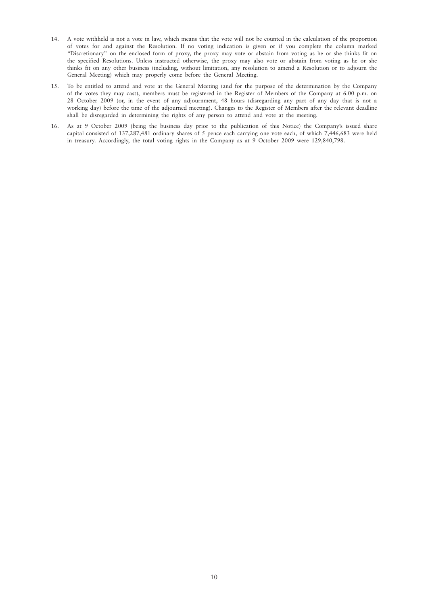- 14. A vote withheld is not a vote in law, which means that the vote will not be counted in the calculation of the proportion of votes for and against the Resolution. If no voting indication is given or if you complete the column marked "Discretionary" on the enclosed form of proxy, the proxy may vote or abstain from voting as he or she thinks fit on the specified Resolutions. Unless instructed otherwise, the proxy may also vote or abstain from voting as he or she thinks fit on any other business (including, without limitation, any resolution to amend a Resolution or to adjourn the General Meeting) which may properly come before the General Meeting.
- 15. To be entitled to attend and vote at the General Meeting (and for the purpose of the determination by the Company of the votes they may cast), members must be registered in the Register of Members of the Company at 6.00 p.m. on 28 October 2009 (or, in the event of any adjournment, 48 hours (disregarding any part of any day that is not a working day) before the time of the adjourned meeting). Changes to the Register of Members after the relevant deadline shall be disregarded in determining the rights of any person to attend and vote at the meeting.
- 16. As at 9 October 2009 (being the business day prior to the publication of this Notice) the Company's issued share capital consisted of 137,287,481 ordinary shares of 5 pence each carrying one vote each, of which 7,446,683 were held in treasury. Accordingly, the total voting rights in the Company as at 9 October 2009 were 129,840,798.